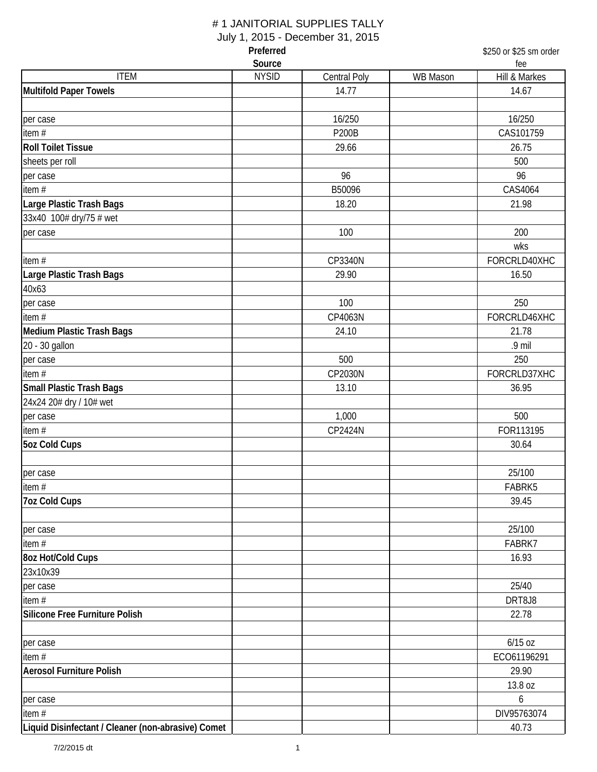# # 1 JANITORIAL SUPPLIES TALLY

July 1, 2015 - December 31, 2015

| Preferred                                          |                        |                     |                 | \$250 or \$25 sm order |  |
|----------------------------------------------------|------------------------|---------------------|-----------------|------------------------|--|
| <b>ITEM</b>                                        | Source<br><b>NYSID</b> | <b>Central Poly</b> | <b>WB Mason</b> | fee<br>Hill & Markes   |  |
| <b>Multifold Paper Towels</b>                      |                        | 14.77               |                 | 14.67                  |  |
|                                                    |                        |                     |                 |                        |  |
| per case                                           |                        | 16/250              |                 | 16/250                 |  |
| item $#$                                           |                        | <b>P200B</b>        |                 | CAS101759              |  |
| <b>Roll Toilet Tissue</b>                          |                        | 29.66               |                 | 26.75                  |  |
| sheets per roll                                    |                        |                     |                 | 500                    |  |
| per case                                           |                        | 96                  |                 | 96                     |  |
| item#                                              |                        | B50096              |                 | CAS4064                |  |
| Large Plastic Trash Bags                           |                        | 18.20               |                 | 21.98                  |  |
| 33x40 100# dry/75 # wet                            |                        |                     |                 |                        |  |
| per case                                           |                        | 100                 |                 | 200                    |  |
|                                                    |                        |                     |                 | wks                    |  |
| item#                                              |                        | CP3340N             |                 | FORCRLD40XHC           |  |
| Large Plastic Trash Bags                           |                        | 29.90               |                 | 16.50                  |  |
| 40x63                                              |                        |                     |                 |                        |  |
| per case                                           |                        | 100                 |                 | 250                    |  |
| item $#$                                           |                        | CP4063N             |                 | FORCRLD46XHC           |  |
| Medium Plastic Trash Bags                          |                        | 24.10               |                 | 21.78                  |  |
| 20 - 30 gallon                                     |                        |                     |                 | .9 mil                 |  |
| per case                                           |                        | 500                 |                 | 250                    |  |
| item $#$                                           |                        | CP2030N             |                 | FORCRLD37XHC           |  |
| <b>Small Plastic Trash Bags</b>                    |                        | 13.10               |                 | 36.95                  |  |
| 24x24 20# dry / 10# wet                            |                        |                     |                 |                        |  |
| per case                                           |                        | 1,000               |                 | 500                    |  |
| item $#$                                           |                        | CP2424N             |                 | FOR113195              |  |
| <b>5oz Cold Cups</b>                               |                        |                     |                 | 30.64                  |  |
|                                                    |                        |                     |                 |                        |  |
| per case                                           |                        |                     |                 | 25/100                 |  |
| item $#$                                           |                        |                     |                 | FABRK5                 |  |
| <b>7oz Cold Cups</b>                               |                        |                     |                 | 39.45                  |  |
|                                                    |                        |                     |                 |                        |  |
| per case                                           |                        |                     |                 | 25/100                 |  |
| item#                                              |                        |                     |                 | FABRK7                 |  |
| 8oz Hot/Cold Cups                                  |                        |                     |                 | 16.93                  |  |
| 23x10x39                                           |                        |                     |                 |                        |  |
| per case                                           |                        |                     |                 | 25/40                  |  |
| item#                                              |                        |                     |                 | DRT8J8                 |  |
| <b>Silicone Free Furniture Polish</b>              |                        |                     |                 | 22.78                  |  |
|                                                    |                        |                     |                 |                        |  |
| per case                                           |                        |                     |                 | $6/15$ oz              |  |
| item $#$                                           |                        |                     |                 | ECO61196291            |  |
| <b>Aerosol Furniture Polish</b>                    |                        |                     |                 | 29.90                  |  |
|                                                    |                        |                     |                 | 13.8 oz                |  |
| per case                                           |                        |                     |                 | 6                      |  |
| item $#$                                           |                        |                     |                 | DIV95763074            |  |
| Liquid Disinfectant / Cleaner (non-abrasive) Comet |                        |                     |                 | 40.73                  |  |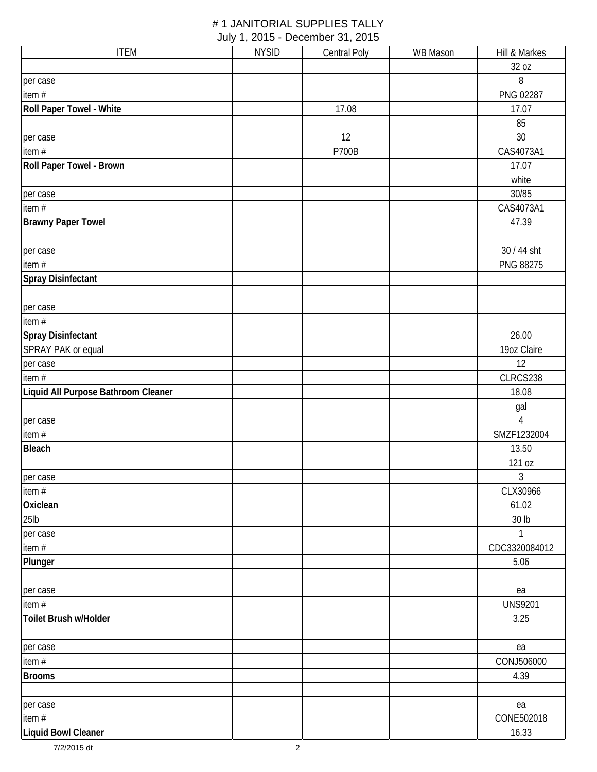| <b>ITEM</b>                         | <b>NYSID</b> | <b>Central Poly</b> | WB Mason | Hill & Markes  |
|-------------------------------------|--------------|---------------------|----------|----------------|
|                                     |              |                     |          | 32 oz          |
| per case                            |              |                     |          | 8              |
| item#                               |              |                     |          | PNG 02287      |
| Roll Paper Towel - White            |              | 17.08               |          | 17.07          |
|                                     |              |                     |          | 85             |
| per case                            |              | 12                  |          | 30             |
| item#                               |              | <b>P700B</b>        |          | CAS4073A1      |
| Roll Paper Towel - Brown            |              |                     |          | 17.07          |
|                                     |              |                     |          | white          |
| per case                            |              |                     |          | 30/85          |
| item $#$                            |              |                     |          | CAS4073A1      |
| <b>Brawny Paper Towel</b>           |              |                     |          | 47.39          |
|                                     |              |                     |          |                |
| per case                            |              |                     |          | 30 / 44 sht    |
| item $#$                            |              |                     |          | PNG 88275      |
| <b>Spray Disinfectant</b>           |              |                     |          |                |
|                                     |              |                     |          |                |
| per case                            |              |                     |          |                |
| item #                              |              |                     |          |                |
| Spray Disinfectant                  |              |                     |          | 26.00          |
| SPRAY PAK or equal                  |              |                     |          | 19oz Claire    |
| per case                            |              |                     |          | 12             |
| item #                              |              |                     |          | CLRCS238       |
| Liquid All Purpose Bathroom Cleaner |              |                     |          | 18.08          |
|                                     |              |                     |          | gal            |
| per case                            |              |                     |          | $\sqrt{4}$     |
| item #                              |              |                     |          | SMZF1232004    |
| <b>Bleach</b>                       |              |                     |          | 13.50          |
|                                     |              |                     |          | 121 oz         |
| per case                            |              |                     |          | 3              |
| item $#$                            |              |                     |          | CLX30966       |
| Oxiclean                            |              |                     |          | 61.02          |
| 25 <sub>lb</sub>                    |              |                     |          | 30 lb          |
| per case                            |              |                     |          | 1              |
| item $#$                            |              |                     |          | CDC3320084012  |
| Plunger                             |              |                     |          | 5.06           |
|                                     |              |                     |          |                |
| per case                            |              |                     |          | ea             |
| item $#$                            |              |                     |          | <b>UNS9201</b> |
| Toilet Brush w/Holder               |              |                     |          | 3.25           |
|                                     |              |                     |          |                |
| per case                            |              |                     |          | ea             |
| item $#$                            |              |                     |          | CONJ506000     |
| <b>Brooms</b>                       |              |                     |          | 4.39           |
|                                     |              |                     |          |                |
| per case                            |              |                     |          | ea             |
| item $#$                            |              |                     |          | CONE502018     |
| Liquid Bowl Cleaner                 |              |                     |          | 16.33          |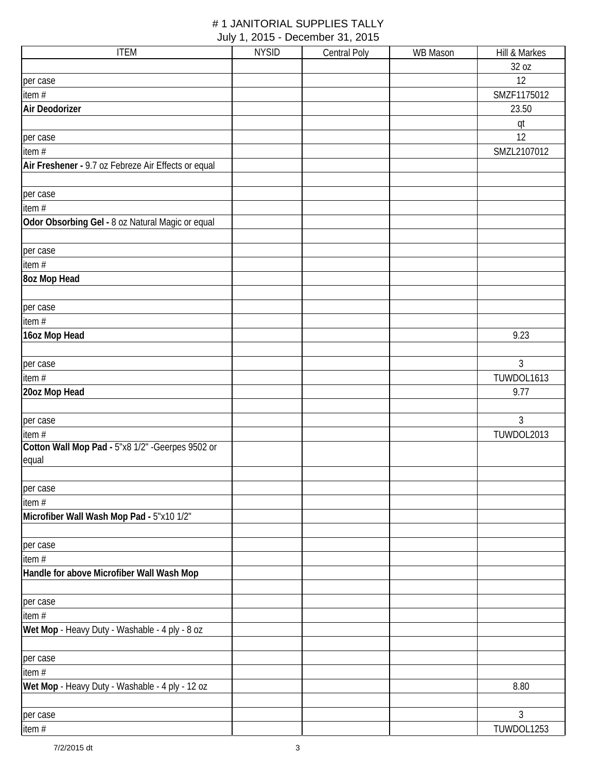| <b>ITEM</b>                                         | <b>NYSID</b> | <b>Central Poly</b> | <b>WB Mason</b> | Hill & Markes  |
|-----------------------------------------------------|--------------|---------------------|-----------------|----------------|
|                                                     |              |                     |                 | 32 oz          |
| per case                                            |              |                     |                 | 12             |
| item#                                               |              |                     |                 | SMZF1175012    |
| Air Deodorizer                                      |              |                     |                 | 23.50          |
|                                                     |              |                     |                 | qt             |
| per case                                            |              |                     |                 | 12             |
| item#                                               |              |                     |                 | SMZL2107012    |
| Air Freshener - 9.7 oz Febreze Air Effects or equal |              |                     |                 |                |
| per case                                            |              |                     |                 |                |
| item #                                              |              |                     |                 |                |
| Odor Obsorbing Gel - 8 oz Natural Magic or equal    |              |                     |                 |                |
|                                                     |              |                     |                 |                |
| per case                                            |              |                     |                 |                |
| item #                                              |              |                     |                 |                |
| <b>8oz Mop Head</b>                                 |              |                     |                 |                |
|                                                     |              |                     |                 |                |
| per case                                            |              |                     |                 |                |
| item #                                              |              |                     |                 |                |
| 16oz Mop Head                                       |              |                     |                 | 9.23           |
|                                                     |              |                     |                 |                |
| per case                                            |              |                     |                 | 3              |
| item #                                              |              |                     |                 | TUWDOL1613     |
| 20oz Mop Head                                       |              |                     |                 | 9.77           |
|                                                     |              |                     |                 |                |
| per case                                            |              |                     |                 | $\mathfrak{Z}$ |
| item#                                               |              |                     |                 | TUWDOL2013     |
| Cotton Wall Mop Pad - 5"x8 1/2" - Geerpes 9502 or   |              |                     |                 |                |
| equal                                               |              |                     |                 |                |
|                                                     |              |                     |                 |                |
| per case                                            |              |                     |                 |                |
| item#                                               |              |                     |                 |                |
| Microfiber Wall Wash Mop Pad - 5"x10 1/2"           |              |                     |                 |                |
|                                                     |              |                     |                 |                |
| per case                                            |              |                     |                 |                |
| item#                                               |              |                     |                 |                |
| Handle for above Microfiber Wall Wash Mop           |              |                     |                 |                |
| per case                                            |              |                     |                 |                |
| item#                                               |              |                     |                 |                |
| Wet Mop - Heavy Duty - Washable - 4 ply - 8 oz      |              |                     |                 |                |
|                                                     |              |                     |                 |                |
| per case                                            |              |                     |                 |                |
| item#                                               |              |                     |                 |                |
| Wet Mop - Heavy Duty - Washable - 4 ply - 12 oz     |              |                     |                 | 8.80           |
|                                                     |              |                     |                 |                |
| per case                                            |              |                     |                 | 3              |
| item #                                              |              |                     |                 | TUWDOL1253     |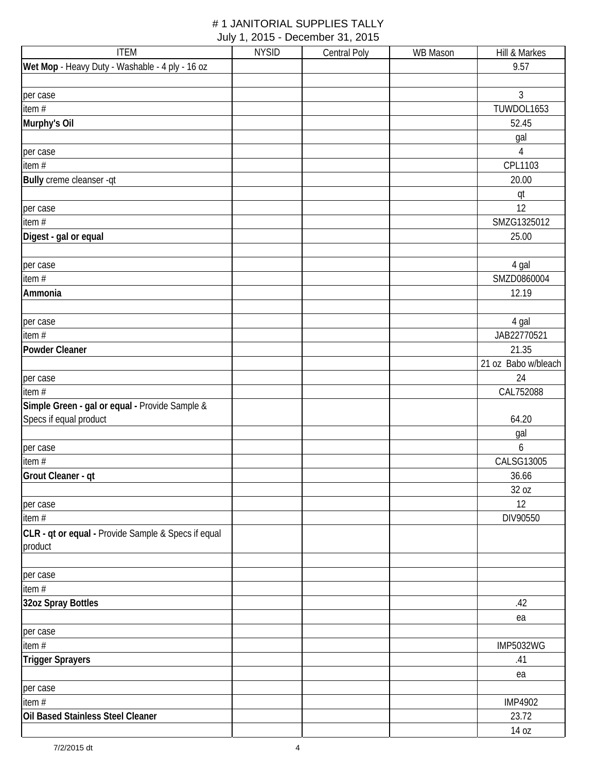| <b>ITEM</b>                                                    | <b>NYSID</b> | <b>Central Poly</b> | <b>WB Mason</b> | Hill & Markes       |
|----------------------------------------------------------------|--------------|---------------------|-----------------|---------------------|
| Wet Mop - Heavy Duty - Washable - 4 ply - 16 oz                |              |                     |                 | 9.57                |
|                                                                |              |                     |                 |                     |
| per case                                                       |              |                     |                 | 3                   |
| item#                                                          |              |                     |                 | TUWDOL1653          |
| Murphy's Oil                                                   |              |                     |                 | 52.45               |
|                                                                |              |                     |                 | gal                 |
| per case                                                       |              |                     |                 | $\overline{4}$      |
| item#                                                          |              |                     |                 | CPL1103             |
| Bully creme cleanser -qt                                       |              |                     |                 | 20.00               |
|                                                                |              |                     |                 | qt                  |
| per case                                                       |              |                     |                 | 12                  |
| item #                                                         |              |                     |                 | SMZG1325012         |
| Digest - gal or equal                                          |              |                     |                 | 25.00               |
|                                                                |              |                     |                 |                     |
| per case                                                       |              |                     |                 | 4 gal               |
| item #                                                         |              |                     |                 | SMZD0860004         |
| Ammonia                                                        |              |                     |                 | 12.19               |
|                                                                |              |                     |                 | 4 gal               |
| per case<br>item #                                             |              |                     |                 | JAB22770521         |
| Powder Cleaner                                                 |              |                     |                 | 21.35               |
|                                                                |              |                     |                 | 21 oz Babo w/bleach |
| per case                                                       |              |                     |                 | 24                  |
| item $#$                                                       |              |                     |                 | CAL752088           |
| Simple Green - gal or equal - Provide Sample &                 |              |                     |                 |                     |
| Specs if equal product                                         |              |                     |                 | 64.20               |
|                                                                |              |                     |                 | gal                 |
| per case                                                       |              |                     |                 | 6                   |
| item $#$                                                       |              |                     |                 | CALSG13005          |
| Grout Cleaner - qt                                             |              |                     |                 | 36.66               |
|                                                                |              |                     |                 | 32 oz               |
| per case                                                       |              |                     |                 | 12                  |
| item $#$                                                       |              |                     |                 | DIV90550            |
| CLR - qt or equal - Provide Sample & Specs if equal<br>product |              |                     |                 |                     |
| per case                                                       |              |                     |                 |                     |
| item #                                                         |              |                     |                 |                     |
| 32oz Spray Bottles                                             |              |                     |                 | .42                 |
|                                                                |              |                     |                 | ea                  |
| per case                                                       |              |                     |                 |                     |
| item#                                                          |              |                     |                 | <b>IMP5032WG</b>    |
| <b>Trigger Sprayers</b>                                        |              |                     |                 | .41                 |
|                                                                |              |                     |                 | ea                  |
| per case                                                       |              |                     |                 |                     |
| item #                                                         |              |                     |                 | <b>IMP4902</b>      |
| Oil Based Stainless Steel Cleaner                              |              |                     |                 | 23.72<br>14 oz      |
|                                                                |              |                     |                 |                     |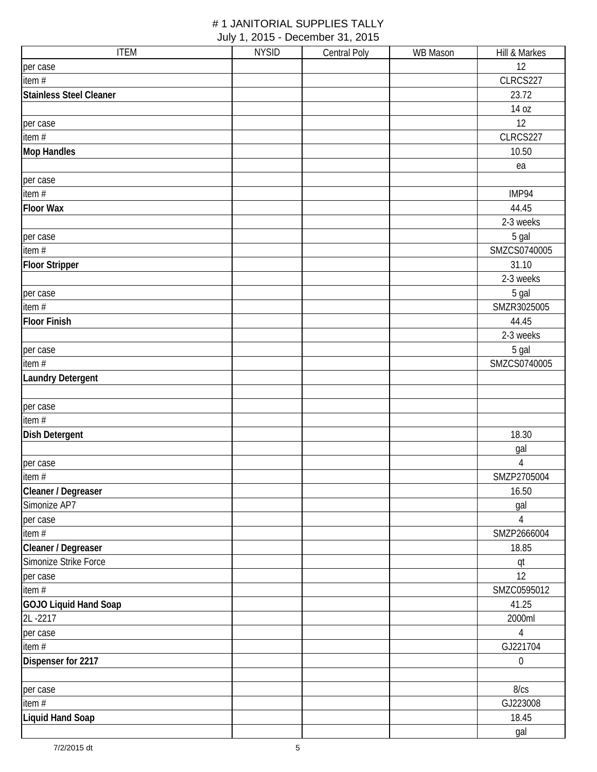| <b>ITEM</b>                    | <b>NYSID</b> | <b>Central Poly</b> | <b>WB</b> Mason | Hill & Markes  |
|--------------------------------|--------------|---------------------|-----------------|----------------|
| per case                       |              |                     |                 | 12             |
| item#                          |              |                     |                 | CLRCS227       |
| <b>Stainless Steel Cleaner</b> |              |                     |                 | 23.72          |
|                                |              |                     |                 | 14 oz          |
| per case                       |              |                     |                 | 12             |
| item #                         |              |                     |                 | CLRCS227       |
| <b>Mop Handles</b>             |              |                     |                 | 10.50          |
|                                |              |                     |                 | ea             |
| per case                       |              |                     |                 |                |
| item $#$                       |              |                     |                 | IMP94          |
| <b>Floor Wax</b>               |              |                     |                 | 44.45          |
|                                |              |                     |                 | 2-3 weeks      |
| per case                       |              |                     |                 | 5 gal          |
| item #                         |              |                     |                 | SMZCS0740005   |
| <b>Floor Stripper</b>          |              |                     |                 | 31.10          |
|                                |              |                     |                 | 2-3 weeks      |
| per case                       |              |                     |                 | 5 gal          |
| item #                         |              |                     |                 | SMZR3025005    |
| <b>Floor Finish</b>            |              |                     |                 | 44.45          |
|                                |              |                     |                 | 2-3 weeks      |
| per case                       |              |                     |                 | 5 gal          |
| item #                         |              |                     |                 | SMZCS0740005   |
| <b>Laundry Detergent</b>       |              |                     |                 |                |
|                                |              |                     |                 |                |
| per case                       |              |                     |                 |                |
| item #                         |              |                     |                 |                |
| <b>Dish Detergent</b>          |              |                     |                 | 18.30          |
|                                |              |                     |                 | gal            |
| per case                       |              |                     |                 | $\sqrt{4}$     |
| item $#$                       |              |                     |                 | SMZP2705004    |
| Cleaner / Degreaser            |              |                     |                 | 16.50          |
| Simonize AP7                   |              |                     |                 | gal            |
| per case                       |              |                     |                 | $\overline{4}$ |
| item #                         |              |                     |                 | SMZP2666004    |
| Cleaner / Degreaser            |              |                     |                 | 18.85          |
| Simonize Strike Force          |              |                     |                 | qt             |
| per case                       |              |                     |                 | 12             |
| item #                         |              |                     |                 | SMZC0595012    |
| GOJO Liquid Hand Soap          |              |                     |                 | 41.25          |
| 2L-2217                        |              |                     |                 | 2000ml         |
| per case                       |              |                     |                 | $\sqrt{4}$     |
| item $#$                       |              |                     |                 | GJ221704       |
| Dispenser for 2217             |              |                     |                 | $\mathbf{0}$   |
|                                |              |                     |                 |                |
| per case                       |              |                     |                 | 8/cs           |
| item #                         |              |                     |                 | GJ223008       |
| <b>Liquid Hand Soap</b>        |              |                     |                 | 18.45          |
|                                |              |                     |                 | gal            |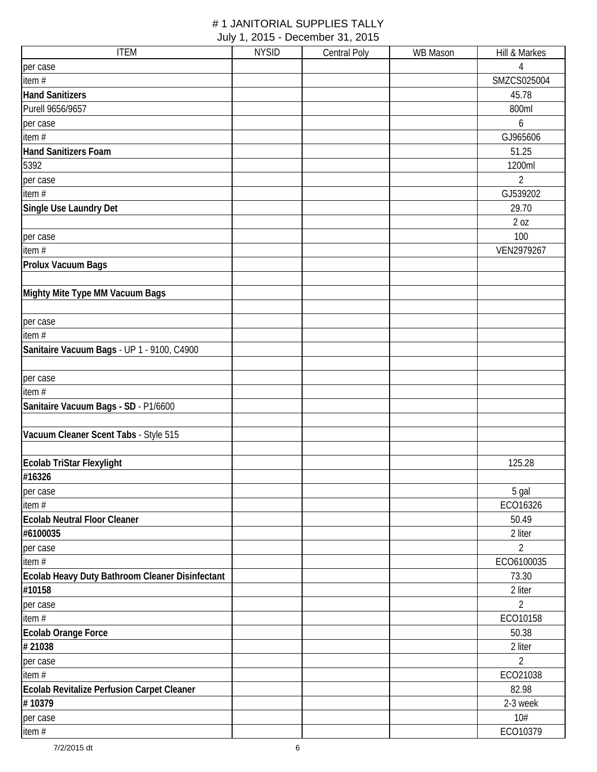| <b>ITEM</b>                                     | <b>NYSID</b> | <b>Central Poly</b> | <b>WB Mason</b> | Hill & Markes             |
|-------------------------------------------------|--------------|---------------------|-----------------|---------------------------|
| per case                                        |              |                     |                 | 4                         |
| item#                                           |              |                     |                 | SMZCS025004               |
| <b>Hand Sanitizers</b>                          |              |                     |                 | 45.78                     |
| Purell 9656/9657                                |              |                     |                 | 800ml                     |
| per case                                        |              |                     |                 | 6                         |
| item #                                          |              |                     |                 | GJ965606                  |
| <b>Hand Sanitizers Foam</b>                     |              |                     |                 | 51.25                     |
| 5392                                            |              |                     |                 | 1200ml                    |
| per case                                        |              |                     |                 | $\overline{2}$            |
| item #                                          |              |                     |                 | GJ539202                  |
| Single Use Laundry Det                          |              |                     |                 | 29.70                     |
|                                                 |              |                     |                 | 2 oz                      |
| per case                                        |              |                     |                 | 100                       |
| item $#$                                        |              |                     |                 | VEN2979267                |
| Prolux Vacuum Bags                              |              |                     |                 |                           |
|                                                 |              |                     |                 |                           |
| Mighty Mite Type MM Vacuum Bags                 |              |                     |                 |                           |
|                                                 |              |                     |                 |                           |
| per case                                        |              |                     |                 |                           |
| item#                                           |              |                     |                 |                           |
| Sanitaire Vacuum Bags - UP 1 - 9100, C4900      |              |                     |                 |                           |
|                                                 |              |                     |                 |                           |
| per case                                        |              |                     |                 |                           |
| item $#$                                        |              |                     |                 |                           |
| Sanitaire Vacuum Bags - SD - P1/6600            |              |                     |                 |                           |
|                                                 |              |                     |                 |                           |
| Vacuum Cleaner Scent Tabs - Style 515           |              |                     |                 |                           |
|                                                 |              |                     |                 |                           |
| Ecolab TriStar Flexylight                       |              |                     |                 | 125.28                    |
| #16326                                          |              |                     |                 |                           |
|                                                 |              |                     |                 | 5 gal                     |
| per case<br>item#                               |              |                     |                 | ECO16326                  |
| <b>Ecolab Neutral Floor Cleaner</b>             |              |                     |                 | 50.49                     |
| #6100035                                        |              |                     |                 | 2 liter                   |
|                                                 |              |                     |                 | 2                         |
| per case<br>item $#$                            |              |                     |                 | ECO6100035                |
| Ecolab Heavy Duty Bathroom Cleaner Disinfectant |              |                     |                 | 73.30                     |
| #10158                                          |              |                     |                 | 2 liter                   |
|                                                 |              |                     |                 | $\overline{2}$            |
| per case                                        |              |                     |                 | ECO10158                  |
| item#                                           |              |                     |                 |                           |
| <b>Ecolab Orange Force</b>                      |              |                     |                 | 50.38                     |
| #21038                                          |              |                     |                 | 2 liter<br>$\overline{2}$ |
| per case                                        |              |                     |                 |                           |
| item#                                           |              |                     |                 | ECO21038                  |
| Ecolab Revitalize Perfusion Carpet Cleaner      |              |                     |                 | 82.98                     |
| #10379                                          |              |                     |                 | 2-3 week                  |
| per case                                        |              |                     |                 | 10#                       |
| item #                                          |              |                     |                 | ECO10379                  |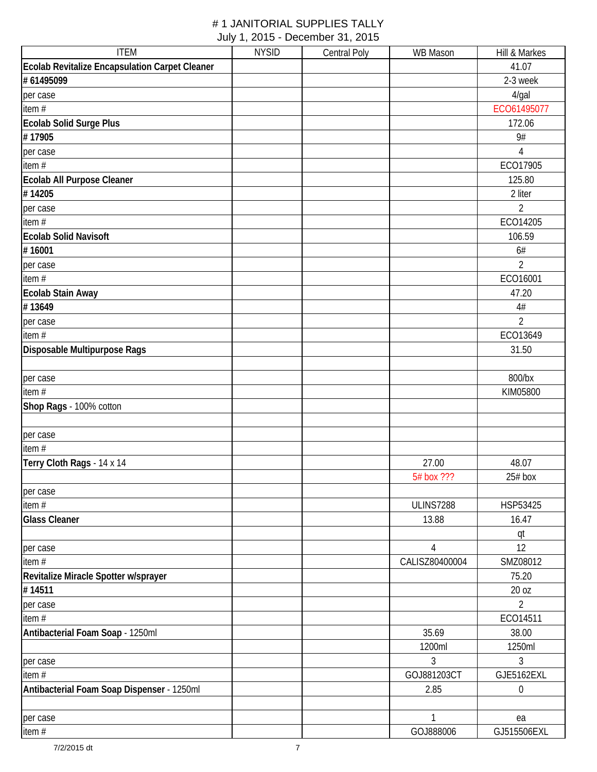| <b>ITEM</b>                                    | <b>NYSID</b> | <b>Central Poly</b> | <b>WB Mason</b>  | Hill & Markes    |
|------------------------------------------------|--------------|---------------------|------------------|------------------|
| Ecolab Revitalize Encapsulation Carpet Cleaner |              |                     |                  | 41.07            |
| # 61495099                                     |              |                     |                  | 2-3 week         |
| per case                                       |              |                     |                  | 4/gal            |
| item#                                          |              |                     |                  | ECO61495077      |
| <b>Ecolab Solid Surge Plus</b>                 |              |                     |                  | 172.06           |
| #17905                                         |              |                     |                  | 9#               |
| per case                                       |              |                     |                  | 4                |
| item $#$                                       |              |                     |                  | ECO17905         |
| Ecolab All Purpose Cleaner                     |              |                     |                  | 125.80           |
| #14205                                         |              |                     |                  | 2 liter          |
| per case                                       |              |                     |                  | $\overline{2}$   |
| item#                                          |              |                     |                  | ECO14205         |
| <b>Ecolab Solid Navisoft</b>                   |              |                     |                  | 106.59           |
| #16001                                         |              |                     |                  | 6#               |
| per case                                       |              |                     |                  | $\overline{2}$   |
| item $#$                                       |              |                     |                  | ECO16001         |
| <b>Ecolab Stain Away</b>                       |              |                     |                  | 47.20            |
| #13649                                         |              |                     |                  | $4\#$            |
| per case                                       |              |                     |                  | $\overline{2}$   |
| item #                                         |              |                     |                  | ECO13649         |
| Disposable Multipurpose Rags                   |              |                     |                  | 31.50            |
| per case                                       |              |                     |                  | 800/bx           |
| item $#$                                       |              |                     |                  | KIM05800         |
| Shop Rags - 100% cotton                        |              |                     |                  |                  |
|                                                |              |                     |                  |                  |
| per case                                       |              |                     |                  |                  |
| item#                                          |              |                     |                  |                  |
| Terry Cloth Rags - 14 x 14                     |              |                     | 27.00            | 48.07            |
|                                                |              |                     | 5# box ???       | $25#$ box        |
| per case                                       |              |                     |                  |                  |
| item $#$                                       |              |                     | <b>ULINS7288</b> | HSP53425         |
| <b>Glass Cleaner</b>                           |              |                     | 13.88            | 16.47            |
|                                                |              |                     |                  | qt               |
| per case                                       |              |                     | $\overline{4}$   | 12               |
| item#                                          |              |                     | CALISZ80400004   | SMZ08012         |
| Revitalize Miracle Spotter w/sprayer           |              |                     |                  | 75.20            |
| #14511                                         |              |                     |                  | 20 oz            |
| per case                                       |              |                     |                  | $\overline{2}$   |
| item#                                          |              |                     |                  | ECO14511         |
| Antibacterial Foam Soap - 1250ml               |              |                     | 35.69            | 38.00            |
|                                                |              |                     | 1200ml           | 1250ml           |
| per case                                       |              |                     | 3                | 3                |
| item#                                          |              |                     | GOJ881203CT      | GJE5162EXL       |
| Antibacterial Foam Soap Dispenser - 1250ml     |              |                     | 2.85             | $\boldsymbol{0}$ |
| per case                                       |              |                     | $\overline{1}$   | ea               |
| item#                                          |              |                     | GOJ888006        | GJ515506EXL      |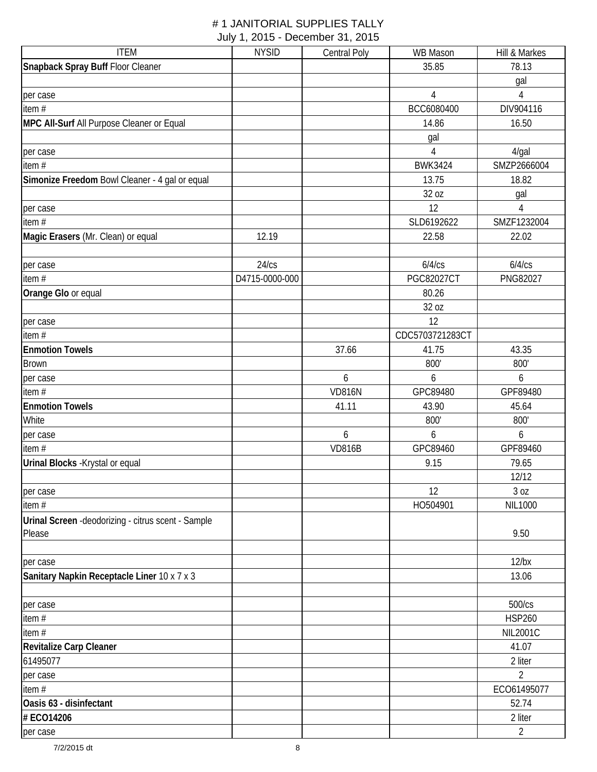| <b>ITEM</b>                                         | <b>NYSID</b>   | <b>Central Poly</b> | <b>WB Mason</b>   | Hill & Markes   |
|-----------------------------------------------------|----------------|---------------------|-------------------|-----------------|
| Snapback Spray Buff Floor Cleaner                   |                |                     | 35.85             | 78.13           |
|                                                     |                |                     |                   | gal             |
| per case                                            |                |                     | $\overline{4}$    | $\overline{4}$  |
| item $#$                                            |                |                     | BCC6080400        | DIV904116       |
| MPC All-Surf All Purpose Cleaner or Equal           |                |                     | 14.86             | 16.50           |
|                                                     |                |                     | gal               |                 |
| per case                                            |                |                     | 4                 | $4$ /gal        |
| item #                                              |                |                     | <b>BWK3424</b>    | SMZP2666004     |
| Simonize Freedom Bowl Cleaner - 4 gal or equal      |                |                     | 13.75             | 18.82           |
|                                                     |                |                     | 32 oz             | gal             |
| per case                                            |                |                     | 12                | $\overline{4}$  |
| item $#$                                            |                |                     | SLD6192622        | SMZF1232004     |
| Magic Erasers (Mr. Clean) or equal                  | 12.19          |                     | 22.58             | 22.02           |
|                                                     |                |                     |                   |                 |
| per case                                            | 24/cs          |                     | 6/4/cs            | 6/4/cs          |
| item#                                               | D4715-0000-000 |                     | <b>PGC82027CT</b> | PNG82027        |
| Orange Glo or equal                                 |                |                     | 80.26             |                 |
|                                                     |                |                     | 32 oz             |                 |
| per case                                            |                |                     | 12                |                 |
| item #                                              |                |                     | CDC5703721283CT   |                 |
| <b>Enmotion Towels</b>                              |                | 37.66               | 41.75             | 43.35           |
| <b>Brown</b>                                        |                |                     | 800'              | 800'            |
| per case                                            |                | 6                   | 6                 | 6               |
| item #                                              |                | <b>VD816N</b>       | GPC89480          | GPF89480        |
| <b>Enmotion Towels</b>                              |                | 41.11               | 43.90             | 45.64           |
| White                                               |                |                     | 800'              | 800'            |
| per case                                            |                | 6                   | 6                 | 6               |
| item $#$                                            |                | <b>VD816B</b>       | GPC89460          | GPF89460        |
| Urinal Blocks - Krystal or equal                    |                |                     | 9.15              | 79.65           |
|                                                     |                |                     |                   | 12/12           |
| per case                                            |                |                     | 12                | 3 oz            |
| item #                                              |                |                     | HO504901          | <b>NIL1000</b>  |
| Urinal Screen - deodorizing - citrus scent - Sample |                |                     |                   |                 |
| Please                                              |                |                     |                   | 9.50            |
|                                                     |                |                     |                   |                 |
| per case                                            |                |                     |                   | $12$ /bx        |
| Sanitary Napkin Receptacle Liner 10 x 7 x 3         |                |                     |                   | 13.06           |
|                                                     |                |                     |                   |                 |
| per case                                            |                |                     |                   | 500/cs          |
| item#                                               |                |                     |                   | <b>HSP260</b>   |
| item#                                               |                |                     |                   | <b>NIL2001C</b> |
| Revitalize Carp Cleaner                             |                |                     |                   | 41.07           |
| 61495077                                            |                |                     |                   | 2 liter         |
| per case                                            |                |                     |                   | $\overline{2}$  |
| item $#$                                            |                |                     |                   | ECO61495077     |
| Oasis 63 - disinfectant                             |                |                     |                   | 52.74           |
| # ECO14206                                          |                |                     |                   | 2 liter         |
| per case                                            |                |                     |                   | $\overline{2}$  |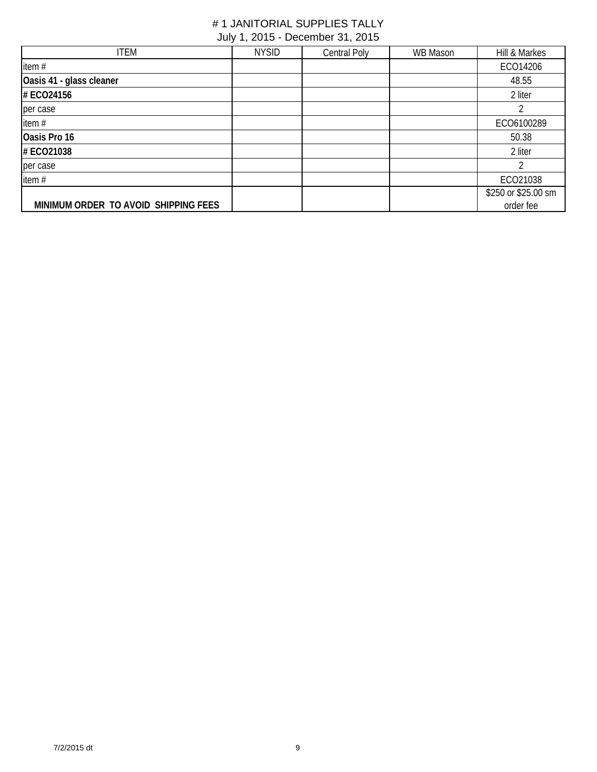| <b>ITEM</b>                          | <b>NYSID</b> | Central Poly | WB Mason | Hill & Markes       |
|--------------------------------------|--------------|--------------|----------|---------------------|
| item #                               |              |              |          | ECO14206            |
| Oasis 41 - glass cleaner             |              |              |          | 48.55               |
| # ECO24156                           |              |              |          | 2 liter             |
| per case                             |              |              |          |                     |
| item #                               |              |              |          | ECO6100289          |
| Oasis Pro 16                         |              |              |          | 50.38               |
| # ECO21038                           |              |              |          | 2 liter             |
| per case                             |              |              |          |                     |
| item#                                |              |              |          | ECO21038            |
|                                      |              |              |          | \$250 or \$25.00 sm |
| MINIMUM ORDER TO AVOID SHIPPING FEES |              |              |          | order fee           |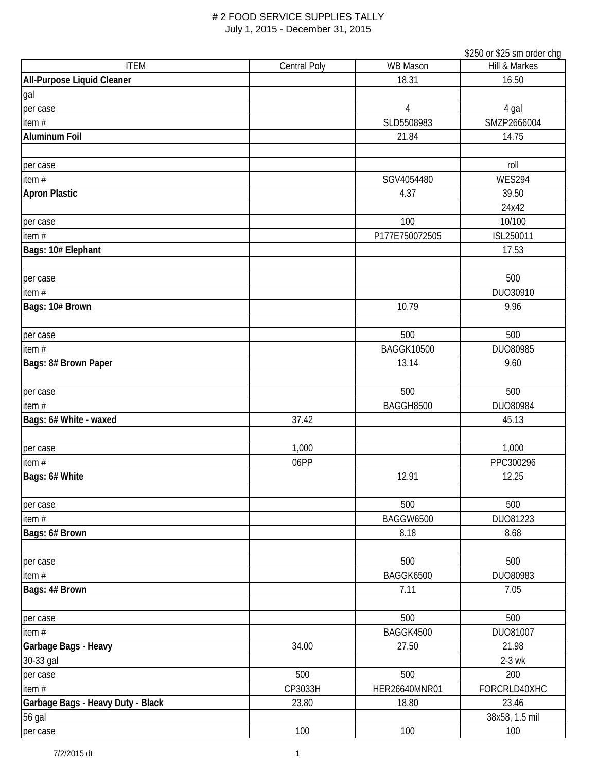|                                   |                     |                   | \$250 or \$25 sm order chg |
|-----------------------------------|---------------------|-------------------|----------------------------|
| <b>ITEM</b>                       | <b>Central Poly</b> | <b>WB Mason</b>   | Hill & Markes              |
| All-Purpose Liquid Cleaner        |                     | 18.31             | 16.50                      |
| gal                               |                     |                   |                            |
| per case                          |                     | 4                 | 4 gal                      |
| item $#$                          |                     | SLD5508983        | SMZP2666004                |
| <b>Aluminum Foil</b>              |                     | 21.84             | 14.75                      |
|                                   |                     |                   |                            |
| per case                          |                     |                   | roll                       |
| item#                             |                     | SGV4054480        | <b>WES294</b>              |
| <b>Apron Plastic</b>              |                     | 4.37              | 39.50                      |
|                                   |                     |                   | 24x42                      |
| per case                          |                     | 100               | 10/100                     |
| item#                             |                     | P177E750072505    | ISL250011                  |
| Bags: 10# Elephant                |                     |                   | 17.53                      |
|                                   |                     |                   |                            |
| per case                          |                     |                   | 500                        |
| item #                            |                     |                   | DUO30910                   |
| Bags: 10# Brown                   |                     | 10.79             | 9.96                       |
|                                   |                     |                   |                            |
| per case                          |                     | 500               | 500                        |
| item $#$                          |                     | <b>BAGGK10500</b> | DUO80985                   |
| Bags: 8# Brown Paper              |                     | 13.14             | 9.60                       |
|                                   |                     |                   |                            |
| per case                          |                     | 500               | 500                        |
| item#                             |                     | BAGGH8500         | DUO80984                   |
| Bags: 6# White - waxed            | 37.42               |                   | 45.13                      |
|                                   |                     |                   |                            |
| per case                          | 1,000               |                   | 1,000                      |
| item #                            | 06PP                |                   | PPC300296                  |
| Bags: 6# White                    |                     | 12.91             | 12.25                      |
|                                   |                     |                   |                            |
| per case                          |                     | 500               | 500                        |
| item $#$                          |                     | <b>BAGGW6500</b>  | DU081223                   |
| Bags: 6# Brown                    |                     | 8.18              | 8.68                       |
|                                   |                     |                   |                            |
| per case                          |                     | 500               | 500                        |
| item $#$                          |                     | BAGGK6500         | DUO80983                   |
| Bags: 4# Brown                    |                     | 7.11              | 7.05                       |
|                                   |                     |                   |                            |
| per case                          |                     | 500               | 500                        |
| item #                            |                     | BAGGK4500         | DU081007                   |
| Garbage Bags - Heavy              | 34.00               | 27.50             | 21.98                      |
| 30-33 gal                         |                     |                   | $2-3$ wk                   |
| per case                          | 500                 | 500               | 200                        |
| item #                            | CP3033H             | HER26640MNR01     | FORCRLD40XHC               |
| Garbage Bags - Heavy Duty - Black | 23.80               | 18.80             | 23.46                      |
| 56 gal                            |                     |                   | 38x58, 1.5 mil             |
| per case                          | 100                 | 100               | 100                        |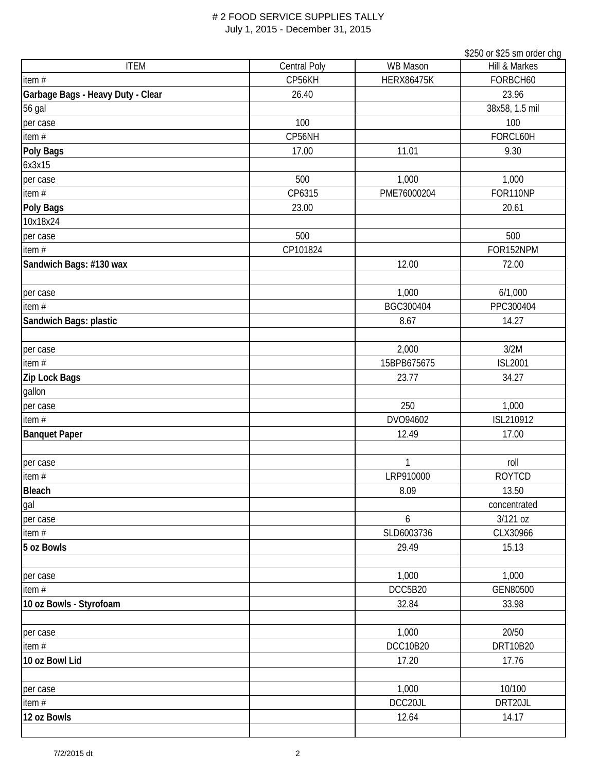|                                   |              |                   | \$250 or \$25 sm order chg |
|-----------------------------------|--------------|-------------------|----------------------------|
| <b>ITEM</b>                       | Central Poly | <b>WB Mason</b>   | Hill & Markes              |
| item #                            | CP56KH       | <b>HERX86475K</b> | FORBCH60                   |
| Garbage Bags - Heavy Duty - Clear | 26.40        |                   | 23.96                      |
| 56 gal                            |              |                   | 38x58, 1.5 mil             |
| per case                          | 100          |                   | 100                        |
| item #                            | CP56NH       |                   | FORCL60H                   |
| Poly Bags                         | 17.00        | 11.01             | 9.30                       |
| 6x3x15                            |              |                   |                            |
| per case                          | 500          | 1,000             | 1,000                      |
| item #                            | CP6315       | PME76000204       | FOR110NP                   |
| <b>Poly Bags</b>                  | 23.00        |                   | 20.61                      |
| 10x18x24                          |              |                   |                            |
| per case                          | 500          |                   | 500                        |
| item $#$                          | CP101824     |                   | FOR152NPM                  |
| Sandwich Bags: #130 wax           |              | 12.00             | 72.00                      |
|                                   |              |                   |                            |
| per case                          |              | 1,000             | 6/1,000                    |
| item $#$                          |              | BGC300404         | PPC300404                  |
| Sandwich Bags: plastic            |              | 8.67              | 14.27                      |
|                                   |              |                   |                            |
| per case                          |              | 2,000             | 3/2M                       |
| item#                             |              | 15BPB675675       | <b>ISL2001</b>             |
| Zip Lock Bags                     |              | 23.77             | 34.27                      |
| gallon                            |              |                   |                            |
| per case                          |              | 250               | 1,000                      |
| item #                            |              | DVO94602          | ISL210912                  |
| <b>Banquet Paper</b>              |              | 12.49             | 17.00                      |
|                                   |              |                   |                            |
| per case                          |              | 1                 | roll                       |
| item $#$                          |              | LRP910000         | <b>ROYTCD</b>              |
| <b>Bleach</b>                     |              | 8.09              | 13.50                      |
| gal                               |              |                   | concentrated               |
| per case                          |              | 6                 | 3/121 oz                   |
| item#                             |              | SLD6003736        | CLX30966                   |
| 5 oz Bowls                        |              | 29.49             | 15.13                      |
|                                   |              |                   |                            |
| per case                          |              | 1,000             | 1,000                      |
| item #                            |              | DCC5B20           | GEN80500                   |
| 10 oz Bowls - Styrofoam           |              | 32.84             | 33.98                      |
|                                   |              |                   |                            |
| per case                          |              | 1,000             | 20/50                      |
| item#                             |              | <b>DCC10B20</b>   | DRT10B20                   |
| 10 oz Bowl Lid                    |              | 17.20             | 17.76                      |
|                                   |              |                   |                            |
| per case                          |              | 1,000             | 10/100                     |
| item#                             |              | DCC20JL           | DRT20JL                    |
| 12 oz Bowls                       |              | 12.64             | 14.17                      |
|                                   |              |                   |                            |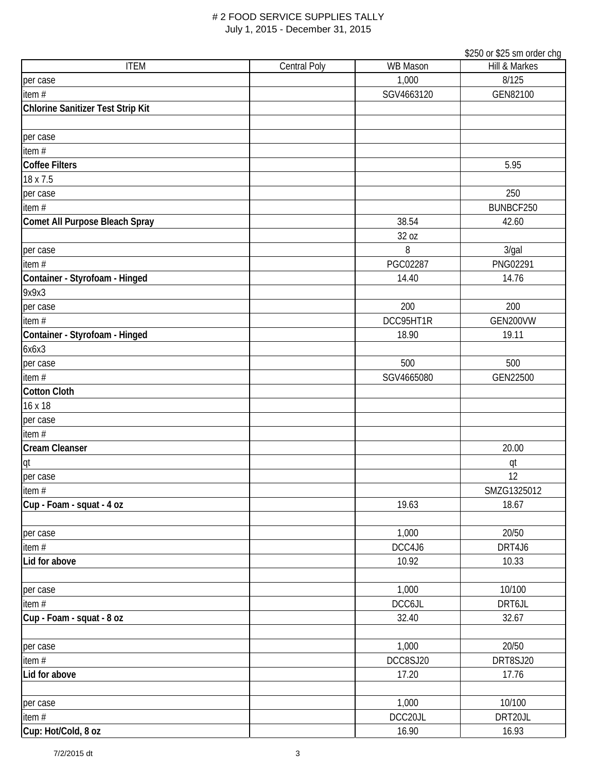|                                   |              |                 | \$250 or \$25 sm order chg |
|-----------------------------------|--------------|-----------------|----------------------------|
| <b>ITEM</b>                       | Central Poly | <b>WB Mason</b> | Hill & Markes              |
| per case                          |              | 1,000           | 8/125                      |
| item #                            |              | SGV4663120      | GEN82100                   |
| Chlorine Sanitizer Test Strip Kit |              |                 |                            |
|                                   |              |                 |                            |
| per case                          |              |                 |                            |
| item #                            |              |                 |                            |
| <b>Coffee Filters</b>             |              |                 | 5.95                       |
| 18 x 7.5                          |              |                 |                            |
| per case                          |              |                 | 250                        |
| item $#$                          |              |                 | BUNBCF250                  |
| Comet All Purpose Bleach Spray    |              | 38.54           | 42.60                      |
|                                   |              | 32 oz           |                            |
| per case                          |              | 8               | 3/gal                      |
| item $#$                          |              | PGC02287        | PNG02291                   |
| Container - Styrofoam - Hinged    |              | 14.40           | 14.76                      |
| 9x9x3                             |              |                 |                            |
| per case                          |              | 200             | 200                        |
| item $#$                          |              | DCC95HT1R       | GEN200VW                   |
| Container - Styrofoam - Hinged    |              | 18.90           | 19.11                      |
| 6x6x3                             |              |                 |                            |
| per case                          |              | 500             | 500                        |
| item $#$                          |              | SGV4665080      | GEN22500                   |
| <b>Cotton Cloth</b>               |              |                 |                            |
| 16 x 18                           |              |                 |                            |
| per case                          |              |                 |                            |
| item #                            |              |                 |                            |
| <b>Cream Cleanser</b>             |              |                 | 20.00                      |
| qt                                |              |                 | qt                         |
| per case                          |              |                 | 12                         |
| item#                             |              |                 | SMZG1325012                |
| Cup - Foam - squat - 4 oz         |              | 19.63           | 18.67                      |
|                                   |              |                 |                            |
| per case                          |              | 1,000           | 20/50                      |
| item $#$                          |              | DCC4J6          | DRT4J6                     |
| Lid for above                     |              | 10.92           | 10.33                      |
|                                   |              |                 |                            |
| per case                          |              | 1,000           | 10/100                     |
| item#                             |              | DCC6JL          | DRT6JL                     |
| Cup - Foam - squat - 8 oz         |              | 32.40           | 32.67                      |
|                                   |              |                 |                            |
| per case                          |              | 1,000           | 20/50                      |
| item $#$                          |              | DCC8SJ20        | DRT8SJ20                   |
| Lid for above                     |              | 17.20           | 17.76                      |
|                                   |              |                 |                            |
| per case                          |              | 1,000           | 10/100                     |
| item $#$                          |              | DCC20JL         | DRT20JL                    |
| Cup: Hot/Cold, 8 oz               |              | 16.90           | 16.93                      |
|                                   |              |                 |                            |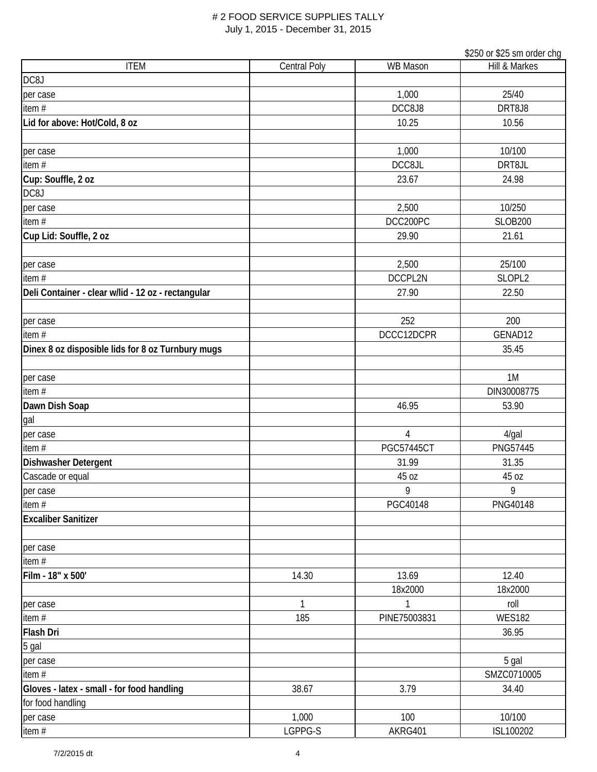|                                                    |                     |                   | \$250 or \$25 sm order chg |
|----------------------------------------------------|---------------------|-------------------|----------------------------|
| <b>ITEM</b>                                        | <b>Central Poly</b> | <b>WB Mason</b>   | Hill & Markes              |
| DC8J                                               |                     |                   |                            |
| per case                                           |                     | 1,000             | 25/40                      |
| item #                                             |                     | DCC8J8            | DRT8J8                     |
| Lid for above: Hot/Cold, 8 oz                      |                     | 10.25             | 10.56                      |
|                                                    |                     |                   |                            |
| per case                                           |                     | 1,000             | 10/100                     |
| item $#$                                           |                     | DCC8JL            | DRT8JL                     |
| Cup: Souffle, 2 oz                                 |                     | 23.67             | 24.98                      |
| DC8J                                               |                     |                   |                            |
| per case                                           |                     | 2,500             | 10/250                     |
| item $#$                                           |                     | DCC200PC          | <b>SLOB200</b>             |
| Cup Lid: Souffle, 2 oz                             |                     | 29.90             | 21.61                      |
|                                                    |                     |                   |                            |
| per case                                           |                     | 2,500             | 25/100                     |
| item $#$                                           |                     | DCCPL2N           | SLOPL2                     |
| Deli Container - clear w/lid - 12 oz - rectangular |                     | 27.90             | 22.50                      |
|                                                    |                     |                   |                            |
| per case                                           |                     | 252               | 200                        |
| item #                                             |                     | DCCC12DCPR        | GENAD12                    |
| Dinex 8 oz disposible lids for 8 oz Turnbury mugs  |                     |                   | 35.45                      |
|                                                    |                     |                   |                            |
| per case                                           |                     |                   | 1M                         |
| item $#$                                           |                     |                   | DIN30008775                |
| Dawn Dish Soap                                     |                     | 46.95             | 53.90                      |
| gal                                                |                     |                   |                            |
| per case                                           |                     | $\overline{4}$    | 4/gal                      |
| item #                                             |                     | <b>PGC57445CT</b> | PNG57445                   |
| <b>Dishwasher Detergent</b>                        |                     | 31.99             | 31.35                      |
| Cascade or equal                                   |                     | 45 oz             | 45 oz                      |
| per case                                           |                     | 9                 | 9                          |
| item #                                             |                     | PGC40148          | PNG40148                   |
| <b>Excaliber Sanitizer</b>                         |                     |                   |                            |
|                                                    |                     |                   |                            |
| per case                                           |                     |                   |                            |
| item#                                              |                     |                   |                            |
| Film - 18" x 500'                                  | 14.30               | 13.69             | 12.40                      |
|                                                    |                     | 18x2000           | 18x2000                    |
| per case                                           | 1                   |                   | roll                       |
| item#                                              | 185                 | PINE75003831      | <b>WES182</b>              |
| <b>Flash Dri</b>                                   |                     |                   | 36.95                      |
| 5 gal                                              |                     |                   |                            |
| per case                                           |                     |                   | 5 gal                      |
| item#                                              |                     |                   | SMZC0710005                |
| Gloves - latex - small - for food handling         | 38.67               | 3.79              | 34.40                      |
| for food handling                                  |                     |                   |                            |
| per case                                           | 1,000               | 100               | 10/100                     |
| item #                                             | LGPPG-S             | AKRG401           | ISL100202                  |
|                                                    |                     |                   |                            |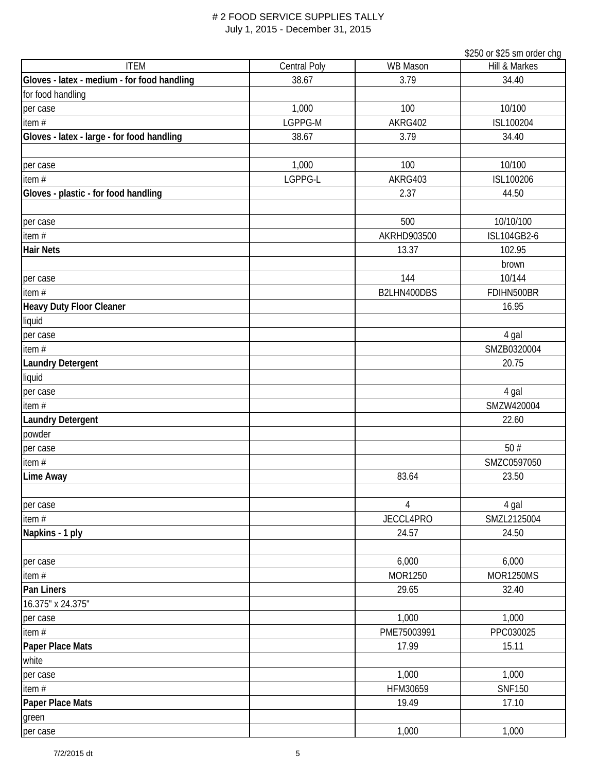|                                             |              |                 | \$250 or \$25 sm order chg |
|---------------------------------------------|--------------|-----------------|----------------------------|
| <b>ITEM</b>                                 | Central Poly | <b>WB Mason</b> | Hill & Markes              |
| Gloves - latex - medium - for food handling | 38.67        | 3.79            | 34.40                      |
| for food handling                           |              |                 |                            |
| per case                                    | 1,000        | 100             | 10/100                     |
| item #                                      | LGPPG-M      | AKRG402         | ISL100204                  |
| Gloves - latex - large - for food handling  | 38.67        | 3.79            | 34.40                      |
|                                             |              |                 |                            |
| per case                                    | 1,000        | 100             | 10/100                     |
| item $#$                                    | LGPPG-L      | AKRG403         | ISL100206                  |
| Gloves - plastic - for food handling        |              | 2.37            | 44.50                      |
|                                             |              |                 |                            |
| per case                                    |              | 500             | 10/10/100                  |
| item #                                      |              | AKRHD903500     | ISL104GB2-6                |
| <b>Hair Nets</b>                            |              | 13.37           | 102.95                     |
|                                             |              |                 | brown                      |
| per case                                    |              | 144             | 10/144                     |
| item #                                      |              | B2LHN400DBS     | FDIHN500BR                 |
| <b>Heavy Duty Floor Cleaner</b>             |              |                 | 16.95                      |
| liquid                                      |              |                 |                            |
| per case                                    |              |                 | 4 gal                      |
| item $#$                                    |              |                 | SMZB0320004                |
| <b>Laundry Detergent</b>                    |              |                 | 20.75                      |
| liquid                                      |              |                 |                            |
| per case                                    |              |                 | 4 gal                      |
| item #                                      |              |                 | SMZW420004                 |
| <b>Laundry Detergent</b>                    |              |                 | 22.60                      |
| powder                                      |              |                 |                            |
| per case                                    |              |                 | 50#                        |
| item#                                       |              |                 | SMZC0597050                |
| Lime Away                                   |              | 83.64           | 23.50                      |
|                                             |              |                 |                            |
| per case                                    |              | 4               | 4 gal                      |
| item#                                       |              | JECCL4PRO       | SMZL2125004                |
| Napkins - 1 ply                             |              | 24.57           | 24.50                      |
|                                             |              |                 |                            |
| per case                                    |              | 6,000           | 6,000                      |
| item #                                      |              | MOR1250         | <b>MOR1250MS</b>           |
| Pan Liners                                  |              | 29.65           | 32.40                      |
| 16.375" x 24.375"                           |              |                 |                            |
| per case                                    |              | 1,000           | 1,000                      |
| item $#$                                    |              | PME75003991     | PPC030025                  |
| Paper Place Mats                            |              | 17.99           | 15.11                      |
| white                                       |              |                 |                            |
| per case                                    |              | 1,000           | 1,000                      |
| item#                                       |              | HFM30659        | <b>SNF150</b>              |
| <b>Paper Place Mats</b>                     |              | 19.49           | 17.10                      |
| green                                       |              |                 |                            |
| per case                                    |              | 1,000           | 1,000                      |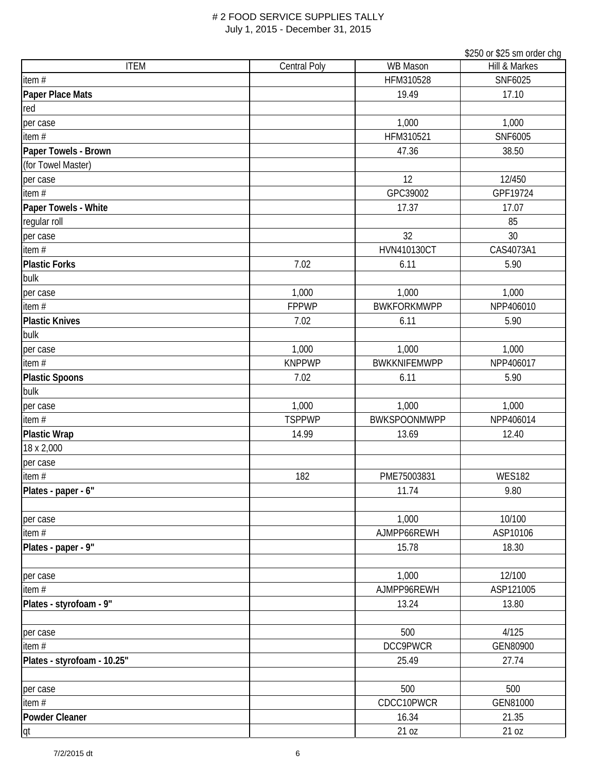|                             |                     |                     | \$250 or \$25 sm order chg |
|-----------------------------|---------------------|---------------------|----------------------------|
| <b>ITEM</b>                 | <b>Central Poly</b> | <b>WB Mason</b>     | Hill & Markes              |
| item #                      |                     | HFM310528           | SNF6025                    |
| Paper Place Mats            |                     | 19.49               | 17.10                      |
| red                         |                     |                     |                            |
| per case                    |                     | 1,000               | 1,000                      |
| item $#$                    |                     | HFM310521           | SNF6005                    |
| Paper Towels - Brown        |                     | 47.36               | 38.50                      |
| (for Towel Master)          |                     |                     |                            |
| per case                    |                     | 12                  | 12/450                     |
| item #                      |                     | GPC39002            | GPF19724                   |
| Paper Towels - White        |                     | 17.37               | 17.07                      |
| regular roll                |                     |                     | 85                         |
| per case                    |                     | 32                  | 30                         |
| item $#$                    |                     | HVN410130CT         | CAS4073A1                  |
| <b>Plastic Forks</b>        | 7.02                | 6.11                | 5.90                       |
| bulk                        |                     |                     |                            |
| per case                    | 1,000               | 1,000               | 1,000                      |
| item#                       | <b>FPPWP</b>        | <b>BWKFORKMWPP</b>  | NPP406010                  |
| <b>Plastic Knives</b>       | 7.02                | 6.11                | 5.90                       |
| bulk                        |                     |                     |                            |
| per case                    | 1,000               | 1,000               | 1,000                      |
| item#                       | <b>KNPPWP</b>       | <b>BWKKNIFEMWPP</b> | NPP406017                  |
| <b>Plastic Spoons</b>       | 7.02                | 6.11                | 5.90                       |
| bulk                        |                     |                     |                            |
| per case                    | 1,000               | 1,000               | 1,000                      |
| item #                      | <b>TSPPWP</b>       | <b>BWKSPOONMWPP</b> | NPP406014                  |
| <b>Plastic Wrap</b>         | 14.99               | 13.69               | 12.40                      |
| 18 x 2,000                  |                     |                     |                            |
| per case                    |                     |                     |                            |
| item#                       | 182                 | PME75003831         | <b>WES182</b>              |
| Plates - paper - 6"         |                     | 11.74               | 9.80                       |
|                             |                     |                     |                            |
| per case                    |                     | 1,000               | 10/100                     |
| item#                       |                     | AJMPP66REWH         | ASP10106                   |
| Plates - paper - 9"         |                     | 15.78               | 18.30                      |
|                             |                     | 1,000               | 12/100                     |
| per case<br>item #          |                     | AJMPP96REWH         | ASP121005                  |
|                             |                     | 13.24               | 13.80                      |
| Plates - styrofoam - 9"     |                     |                     |                            |
| per case                    |                     | 500                 | 4/125                      |
| item $#$                    |                     | DCC9PWCR            | GEN80900                   |
| Plates - styrofoam - 10.25" |                     | 25.49               | 27.74                      |
|                             |                     |                     |                            |
| per case                    |                     | 500                 | 500                        |
| item#                       |                     | CDCC10PWCR          | GEN81000                   |
| Powder Cleaner              |                     | 16.34               | 21.35                      |
| qt                          |                     | 21 oz               | 21 oz                      |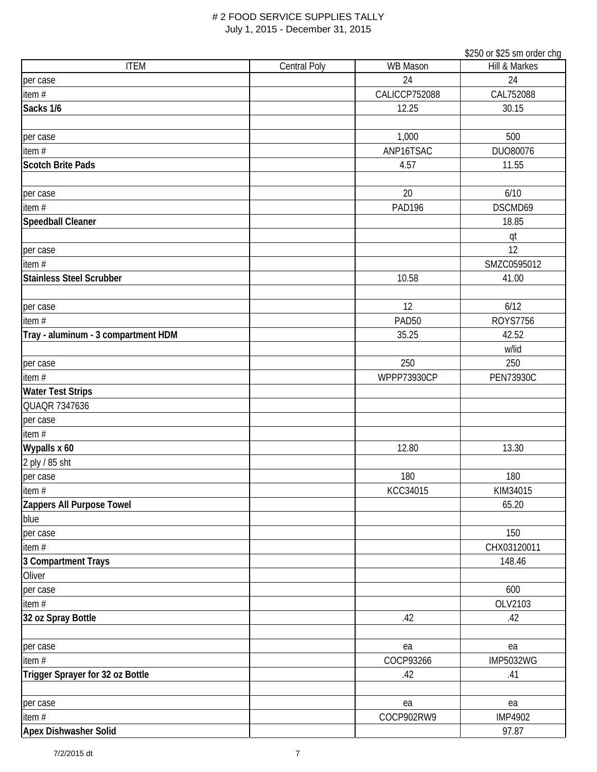|                                     |                     |                   | \$250 or \$25 sm order chg |
|-------------------------------------|---------------------|-------------------|----------------------------|
| <b>ITEM</b>                         | <b>Central Poly</b> | <b>WB Mason</b>   | Hill & Markes              |
| per case                            |                     | 24                | 24                         |
| item $#$                            |                     | CALICCP752088     | CAL752088                  |
| Sacks 1/6                           |                     | 12.25             | 30.15                      |
|                                     |                     |                   |                            |
| per case                            |                     | 1,000             | 500                        |
| item#                               |                     | ANP16TSAC         | DUO80076                   |
| <b>Scotch Brite Pads</b>            |                     | 4.57              | 11.55                      |
|                                     |                     |                   |                            |
| per case                            |                     | 20                | 6/10                       |
| item#                               |                     | <b>PAD196</b>     | DSCMD69                    |
| Speedball Cleaner                   |                     |                   | 18.85                      |
|                                     |                     |                   | qt                         |
| per case                            |                     |                   | 12                         |
| item $#$                            |                     |                   | SMZC0595012                |
| <b>Stainless Steel Scrubber</b>     |                     | 10.58             | 41.00                      |
|                                     |                     |                   |                            |
| per case                            |                     | 12                | 6/12                       |
| item $#$                            |                     | PAD <sub>50</sub> | <b>ROYS7756</b>            |
| Tray - aluminum - 3 compartment HDM |                     | 35.25             | 42.52                      |
|                                     |                     |                   | w/lid                      |
| per case                            |                     | 250               | 250                        |
| item #                              |                     | WPPP73930CP       | <b>PEN73930C</b>           |
| <b>Water Test Strips</b>            |                     |                   |                            |
| QUAQR 7347636                       |                     |                   |                            |
| per case                            |                     |                   |                            |
| item $#$                            |                     |                   |                            |
| Wypalls x 60                        |                     | 12.80             | 13.30                      |
| 2 ply / 85 sht                      |                     |                   |                            |
| per case                            |                     | 180               | 180                        |
| item#                               |                     | KCC34015          | KIM34015                   |
| Zappers All Purpose Towel           |                     |                   | 65.20                      |
| blue                                |                     |                   |                            |
| per case                            |                     |                   | 150                        |
| item #                              |                     |                   | CHX03120011                |
| 3 Compartment Trays                 |                     |                   | 148.46                     |
| Oliver                              |                     |                   |                            |
| per case                            |                     |                   | 600                        |
| item $#$                            |                     |                   | OLV2103                    |
| 32 oz Spray Bottle                  |                     | .42               | .42                        |
|                                     |                     |                   |                            |
| per case                            |                     | ea                | ea                         |
| item $#$                            |                     | COCP93266         | <b>IMP5032WG</b>           |
| Trigger Sprayer for 32 oz Bottle    |                     | .42               | .41                        |
|                                     |                     |                   |                            |
| per case                            |                     | ea                | ea                         |
| item #                              |                     | COCP902RW9        | <b>IMP4902</b>             |
| Apex Dishwasher Solid               |                     |                   | 97.87                      |
|                                     |                     |                   |                            |